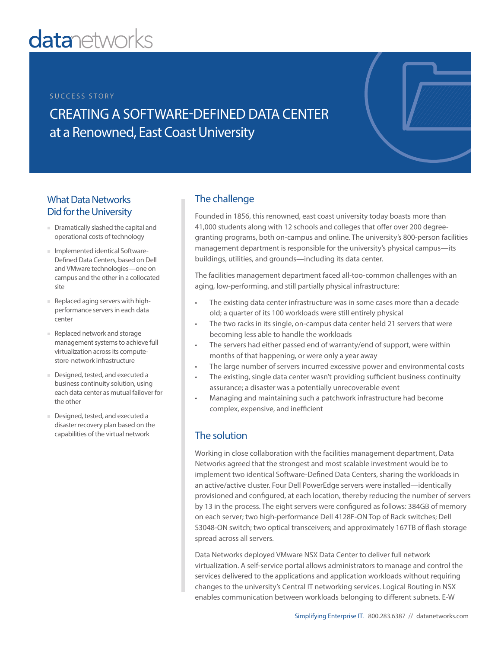# **datanetworks**

#### SUCCESS STORY

CREATING A SOFTWARE-DEFINED DATA CENTER at a Renowned, East Coast University

## What Data Networks Did for the University

- Dramatically slashed the capital and operational costs of technology
- Implemented identical Software-Defined Data Centers, based on Dell and VMware technologies—one on campus and the other in a collocated site
- Replaced aging servers with highperformance servers in each data center
- Replaced network and storage management systems to achieve full virtualization across its computestore-network infrastructure
- Designed, tested, and executed a business continuity solution, using each data center as mutual failover for the other
- Designed, tested, and executed a disaster recovery plan based on the capabilities of the virtual network

## The challenge

Founded in 1856, this renowned, east coast university today boasts more than 41,000 students along with 12 schools and colleges that offer over 200 degreegranting programs, both on-campus and online. The university's 800-person facilities management department is responsible for the university's physical campus—its buildings, utilities, and grounds—including its data center.

The facilities management department faced all-too-common challenges with an aging, low-performing, and still partially physical infrastructure:

- The existing data center infrastructure was in some cases more than a decade old; a quarter of its 100 workloads were still entirely physical
- The two racks in its single, on-campus data center held 21 servers that were becoming less able to handle the workloads
- The servers had either passed end of warranty/end of support, were within months of that happening, or were only a year away
- The large number of servers incurred excessive power and environmental costs
- The existing, single data center wasn't providing sufficient business continuity assurance; a disaster was a potentially unrecoverable event
- Managing and maintaining such a patchwork infrastructure had become complex, expensive, and inefficient

#### The solution

Working in close collaboration with the facilities management department, Data Networks agreed that the strongest and most scalable investment would be to implement two identical Software-Defined Data Centers, sharing the workloads in an active/active cluster. Four Dell PowerEdge servers were installed—identically provisioned and configured, at each location, thereby reducing the number of servers by 13 in the process. The eight servers were configured as follows: 384GB of memory on each server; two high-performance Dell 4128F-ON Top of Rack switches; Dell S3048-ON switch; two optical transceivers; and approximately 167TB of flash storage spread across all servers.

Data Networks deployed VMware NSX Data Center to deliver full network virtualization. A self-service portal allows administrators to manage and control the services delivered to the applications and application workloads without requiring changes to the university's Central IT networking services. Logical Routing in NSX enables communication between workloads belonging to different subnets. E-W